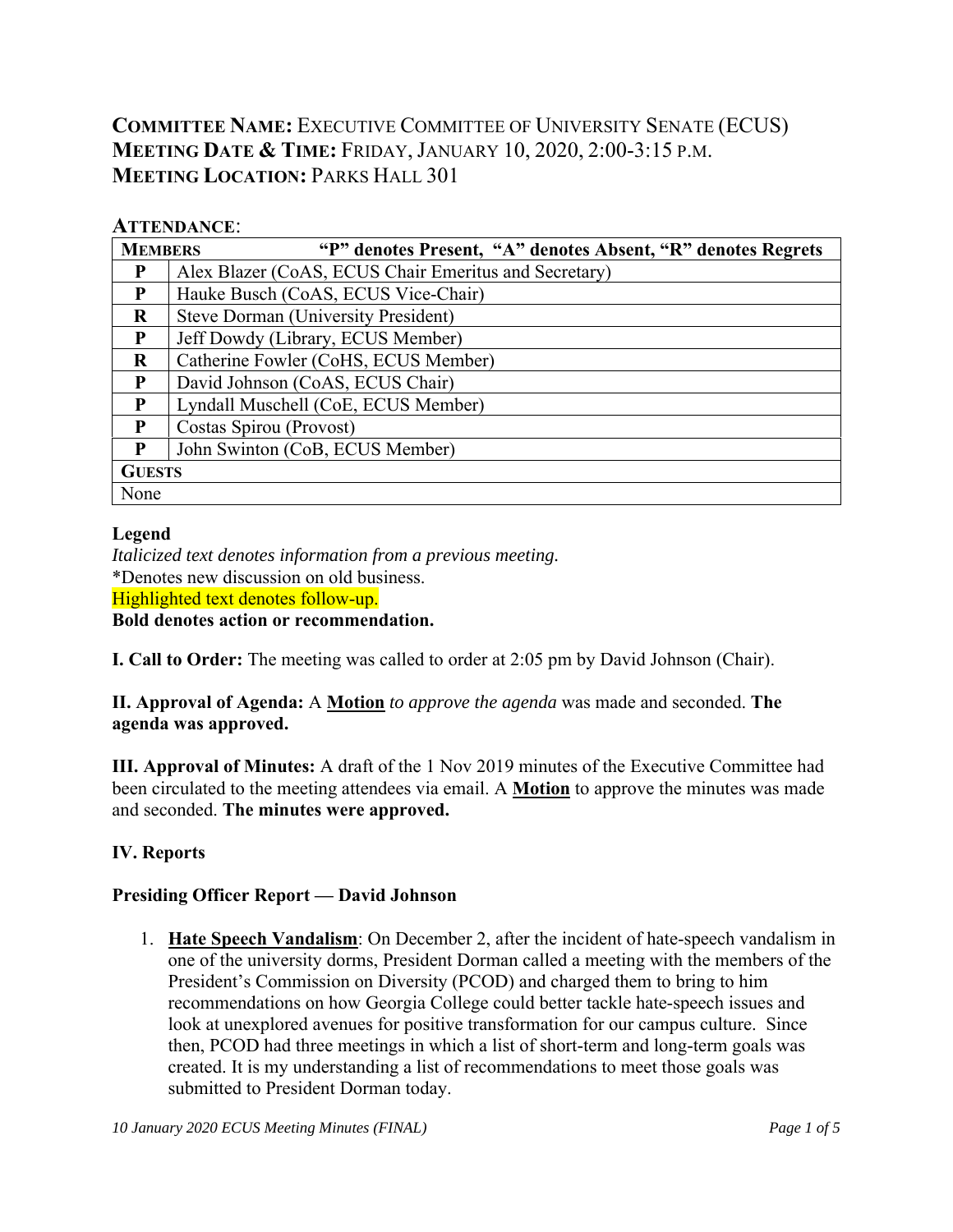# **COMMITTEE NAME:** EXECUTIVE COMMITTEE OF UNIVERSITY SENATE (ECUS) **MEETING DATE & TIME:** FRIDAY, JANUARY 10, 2020, 2:00-3:15 P.M. **MEETING LOCATION: PARKS HALL 301**

#### **ATTENDANCE**:

| <b>MEMBERS</b> | "P" denotes Present, "A" denotes Absent, "R" denotes Regrets |  |  |  |  |  |  |  |  |
|----------------|--------------------------------------------------------------|--|--|--|--|--|--|--|--|
| P              | Alex Blazer (CoAS, ECUS Chair Emeritus and Secretary)        |  |  |  |  |  |  |  |  |
| P              | Hauke Busch (CoAS, ECUS Vice-Chair)                          |  |  |  |  |  |  |  |  |
| $\bf{R}$       | <b>Steve Dorman (University President)</b>                   |  |  |  |  |  |  |  |  |
| P              | Jeff Dowdy (Library, ECUS Member)                            |  |  |  |  |  |  |  |  |
| $\bf{R}$       | Catherine Fowler (CoHS, ECUS Member)                         |  |  |  |  |  |  |  |  |
| P              | David Johnson (CoAS, ECUS Chair)                             |  |  |  |  |  |  |  |  |
| $\mathbf{P}$   | Lyndall Muschell (CoE, ECUS Member)                          |  |  |  |  |  |  |  |  |
| P              | Costas Spirou (Provost)                                      |  |  |  |  |  |  |  |  |
| P              | John Swinton (CoB, ECUS Member)                              |  |  |  |  |  |  |  |  |
| <b>GUESTS</b>  |                                                              |  |  |  |  |  |  |  |  |
| None           |                                                              |  |  |  |  |  |  |  |  |

#### **Legend**

*Italicized text denotes information from a previous meeting.*  \*Denotes new discussion on old business. Highlighted text denotes follow-up. **Bold denotes action or recommendation.** 

**I. Call to Order:** The meeting was called to order at 2:05 pm by David Johnson (Chair).

**II. Approval of Agenda:** A **Motion** *to approve the agenda* was made and seconded. **The agenda was approved.**

**III. Approval of Minutes:** A draft of the 1 Nov 2019 minutes of the Executive Committee had been circulated to the meeting attendees via email. A **Motion** to approve the minutes was made and seconded. **The minutes were approved.**

## **IV. Reports**

#### **Presiding Officer Report — David Johnson**

1. **Hate Speech Vandalism**: On December 2, after the incident of hate-speech vandalism in one of the university dorms, President Dorman called a meeting with the members of the President's Commission on Diversity (PCOD) and charged them to bring to him recommendations on how Georgia College could better tackle hate-speech issues and look at unexplored avenues for positive transformation for our campus culture. Since then, PCOD had three meetings in which a list of short-term and long-term goals was created. It is my understanding a list of recommendations to meet those goals was submitted to President Dorman today.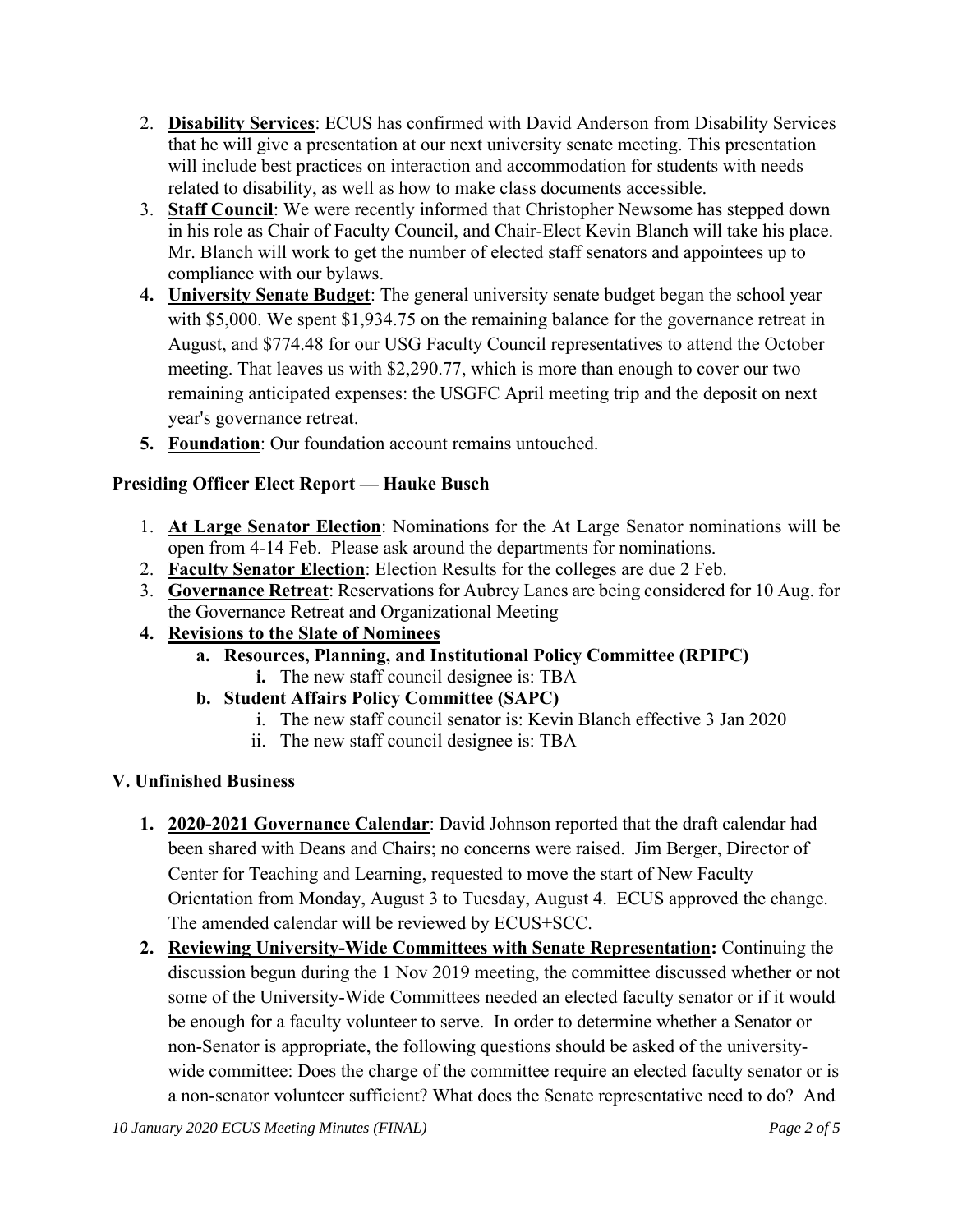- 2. **Disability Services**: ECUS has confirmed with David Anderson from Disability Services that he will give a presentation at our next university senate meeting. This presentation will include best practices on interaction and accommodation for students with needs related to disability, as well as how to make class documents accessible.
- 3. **Staff Council**: We were recently informed that Christopher Newsome has stepped down in his role as Chair of Faculty Council, and Chair-Elect Kevin Blanch will take his place. Mr. Blanch will work to get the number of elected staff senators and appointees up to compliance with our bylaws.
- **4. University Senate Budget**: The general university senate budget began the school year with \$5,000. We spent \$1,934.75 on the remaining balance for the governance retreat in August, and \$774.48 for our USG Faculty Council representatives to attend the October meeting. That leaves us with \$2,290.77, which is more than enough to cover our two remaining anticipated expenses: the USGFC April meeting trip and the deposit on next year's governance retreat.
- **5. Foundation**: Our foundation account remains untouched.

## **Presiding Officer Elect Report — Hauke Busch**

- 1. **At Large Senator Election**: Nominations for the At Large Senator nominations will be open from 4-14 Feb. Please ask around the departments for nominations.
- 2. **Faculty Senator Election**: Election Results for the colleges are due 2 Feb.
- 3. **Governance Retreat**: Reservations for Aubrey Lanes are being considered for 10 Aug. for the Governance Retreat and Organizational Meeting
- **4. Revisions to the Slate of Nominees** 
	- **a. Resources, Planning, and Institutional Policy Committee (RPIPC)**
		- **i.** The new staff council designee is: TBA
	- **b. Student Affairs Policy Committee (SAPC)** 
		- i. The new staff council senator is: Kevin Blanch effective 3 Jan 2020
		- ii. The new staff council designee is: TBA

## **V. Unfinished Business**

- **1. 2020-2021 Governance Calendar**: David Johnson reported that the draft calendar had been shared with Deans and Chairs; no concerns were raised. Jim Berger, Director of Center for Teaching and Learning, requested to move the start of New Faculty Orientation from Monday, August 3 to Tuesday, August 4. ECUS approved the change. The amended calendar will be reviewed by ECUS+SCC.
- **2. Reviewing University-Wide Committees with Senate Representation:** Continuing the discussion begun during the 1 Nov 2019 meeting, the committee discussed whether or not some of the University-Wide Committees needed an elected faculty senator or if it would be enough for a faculty volunteer to serve. In order to determine whether a Senator or non-Senator is appropriate, the following questions should be asked of the universitywide committee: Does the charge of the committee require an elected faculty senator or is a non-senator volunteer sufficient? What does the Senate representative need to do? And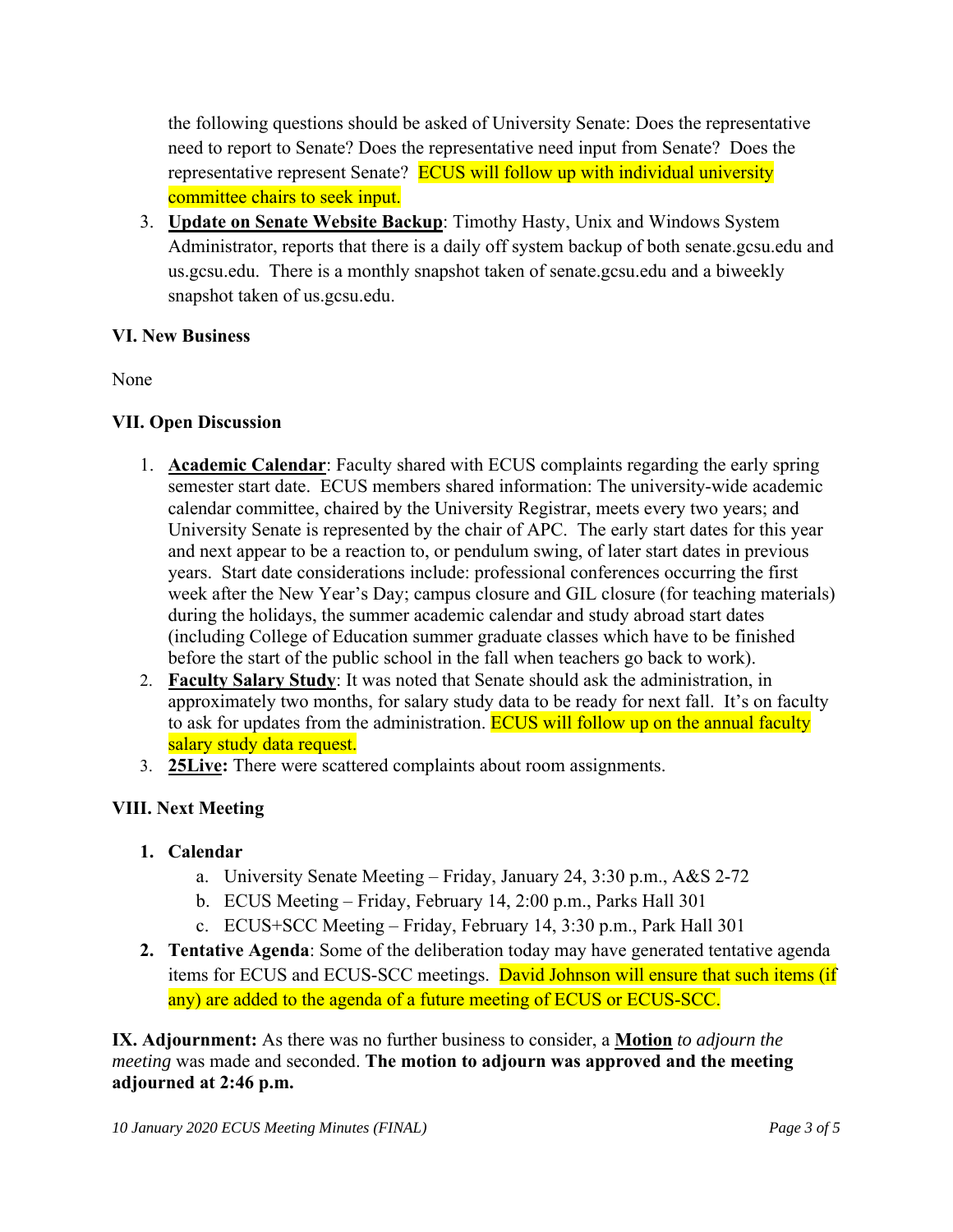the following questions should be asked of University Senate: Does the representative need to report to Senate? Does the representative need input from Senate? Does the representative represent Senate? ECUS will follow up with individual university committee chairs to seek input.

3. **Update on Senate Website Backup**: Timothy Hasty, Unix and Windows System Administrator, reports that there is a daily off system backup of both senate.gcsu.edu and us.gcsu.edu. There is a monthly snapshot taken of senate.gcsu.edu and a biweekly snapshot taken of us.gcsu.edu.

#### **VI. New Business**

None

#### **VII. Open Discussion**

- 1. **Academic Calendar**: Faculty shared with ECUS complaints regarding the early spring semester start date. ECUS members shared information: The university-wide academic calendar committee, chaired by the University Registrar, meets every two years; and University Senate is represented by the chair of APC. The early start dates for this year and next appear to be a reaction to, or pendulum swing, of later start dates in previous years. Start date considerations include: professional conferences occurring the first week after the New Year's Day; campus closure and GIL closure (for teaching materials) during the holidays, the summer academic calendar and study abroad start dates (including College of Education summer graduate classes which have to be finished before the start of the public school in the fall when teachers go back to work).
- 2. **Faculty Salary Study**: It was noted that Senate should ask the administration, in approximately two months, for salary study data to be ready for next fall. It's on faculty to ask for updates from the administration. ECUS will follow up on the annual faculty salary study data request.
- 3. **25Live:** There were scattered complaints about room assignments.

## **VIII. Next Meeting**

#### **1. Calendar**

- a. University Senate Meeting Friday, January 24, 3:30 p.m., A&S 2-72
- b. ECUS Meeting Friday, February 14, 2:00 p.m., Parks Hall 301
- c. ECUS+SCC Meeting Friday, February 14, 3:30 p.m., Park Hall 301
- **2. Tentative Agenda**: Some of the deliberation today may have generated tentative agenda items for ECUS and ECUS-SCC meetings. David Johnson will ensure that such items (if any) are added to the agenda of a future meeting of ECUS or ECUS-SCC.

**IX. Adjournment:** As there was no further business to consider, a **Motion** *to adjourn the meeting* was made and seconded. **The motion to adjourn was approved and the meeting adjourned at 2:46 p.m.**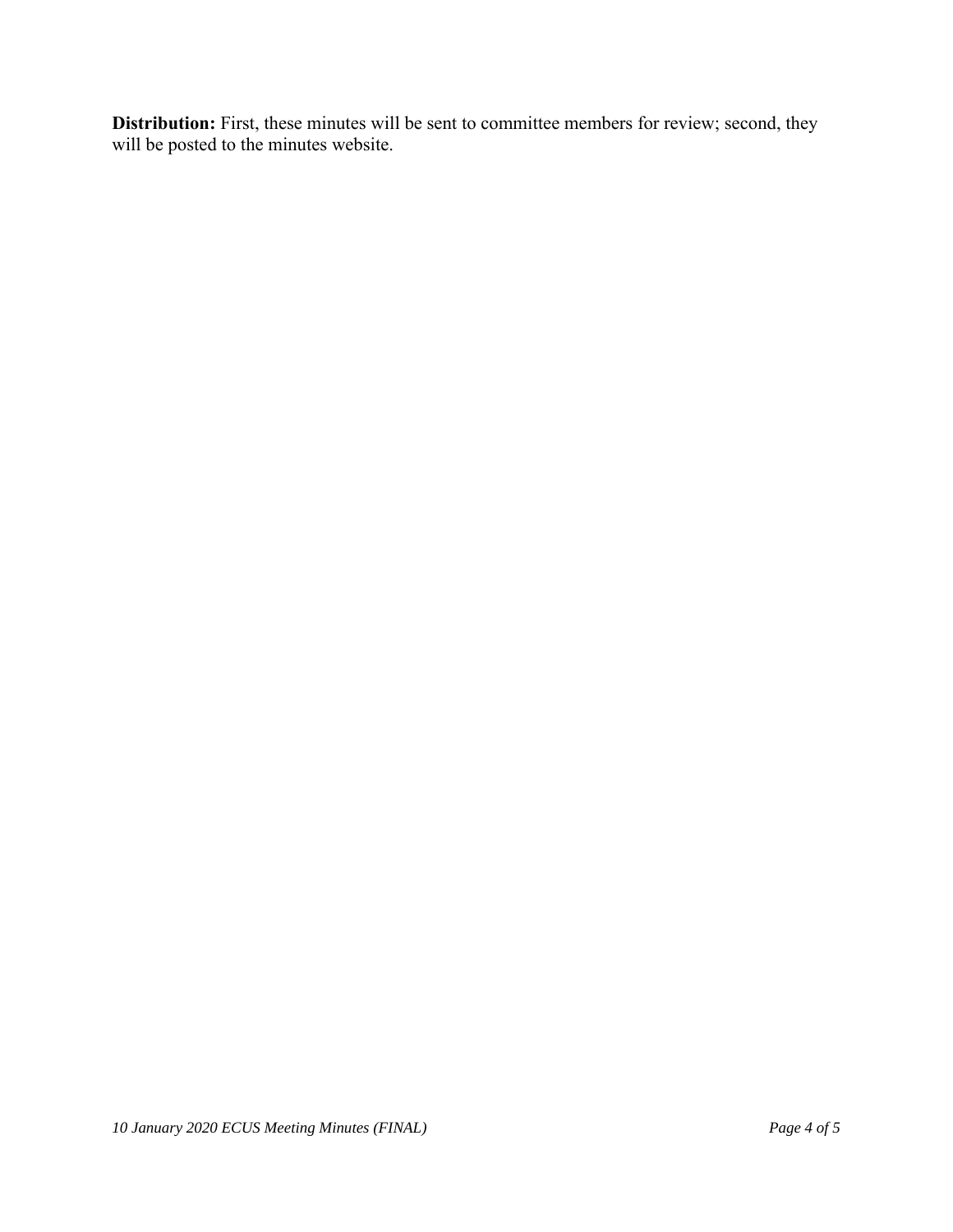**Distribution:** First, these minutes will be sent to committee members for review; second, they will be posted to the minutes website.